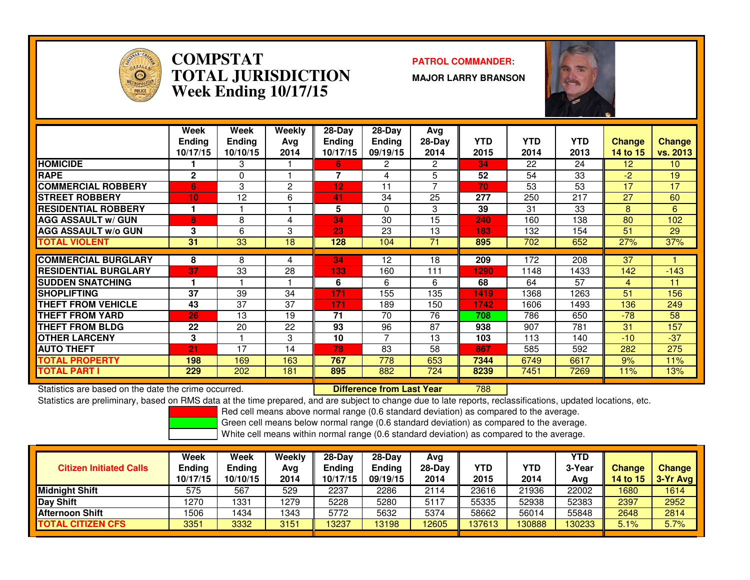

#### **COMPSTAT PATROL COMMANDER: TOTAL JURISDICTIONWeek Ending 10/17/15**

**MAJOR LARRY BRANSON**



|                             | Week<br><b>Endina</b><br>10/17/15 | Week<br><b>Ending</b><br>10/10/15 | Weekly<br>Ava<br>2014 | $28-Day$<br><b>Ending</b><br>10/17/15 | $28$ -Day<br><b>Ending</b><br>09/19/15 | Avg<br>$28-Day$<br>2014 | <b>YTD</b><br>2015 | <b>YTD</b><br>2014 | <b>YTD</b><br>2013 | <b>Change</b><br>14 to 15 | <b>Change</b><br>vs. 2013 |
|-----------------------------|-----------------------------------|-----------------------------------|-----------------------|---------------------------------------|----------------------------------------|-------------------------|--------------------|--------------------|--------------------|---------------------------|---------------------------|
| <b>HOMICIDE</b>             |                                   | 3                                 |                       | 6                                     | 2                                      | 2                       | 34                 | 22                 | 24                 | 12                        | 10 <sup>°</sup>           |
| <b>RAPE</b>                 | $\mathbf{2}$                      | 0                                 |                       | 7                                     | 4                                      | 5                       | 52                 | 54                 | 33                 | $-2$                      | 19                        |
| <b>COMMERCIAL ROBBERY</b>   | 6                                 | 3                                 | 2                     | $12 \,$                               | 11                                     | 7                       | 70                 | 53                 | 53                 | 17                        | 17                        |
| <b>STREET ROBBERY</b>       | 10                                | 12                                | 6                     | 41                                    | 34                                     | 25                      | 277                | 250                | 217                | 27                        | 60                        |
| <b>RESIDENTIAL ROBBERY</b>  |                                   |                                   |                       | 5                                     | $\Omega$                               | 3                       | 39                 | 31                 | 33                 | 8                         | 6                         |
| <b>AGG ASSAULT w/ GUN</b>   | 8                                 | 8                                 | 4                     | 34                                    | 30                                     | 15                      | 240                | 160                | 138                | 80                        | 102                       |
| <b>AGG ASSAULT w/o GUN</b>  | 3                                 | 6                                 | 3                     | 23                                    | 23                                     | 13                      | 183                | 132                | 154                | 51                        | 29                        |
| <b>TOTAL VIOLENT</b>        | 31                                | 33                                | 18                    | 128                                   | 104                                    | 71                      | 895                | 702                | 652                | 27%                       | 37%                       |
|                             |                                   |                                   |                       |                                       |                                        |                         |                    |                    |                    |                           |                           |
| <b>COMMERCIAL BURGLARY</b>  | 8                                 | 8                                 | 4                     | 34                                    | 12                                     | 18                      | 209                | 172                | 208                | 37                        |                           |
| <b>RESIDENTIAL BURGLARY</b> | 37                                | 33                                | 28                    | 133                                   | 160                                    | 111                     | 1290               | 1148               | 1433               | 142                       | $-143$                    |
| <b>ISUDDEN SNATCHING</b>    |                                   |                                   |                       | 6                                     | 6                                      | 6                       | 68                 | 64                 | 57                 | $\overline{4}$            | 11                        |
| <b>SHOPLIFTING</b>          | 37                                | 39                                | 34                    | 171                                   | 155                                    | 135                     | 1419               | 1368               | 1263               | 51                        | 156                       |
| <b>THEFT FROM VEHICLE</b>   | 43                                | 37                                | 37                    | 171                                   | 189                                    | 150                     | 1742               | 1606               | 1493               | 136                       | 249                       |
| <b>THEFT FROM YARD</b>      | 26                                | 13                                | 19                    | 71                                    | 70                                     | 76                      | 708                | 786                | 650                | $-78$                     | 58                        |
| <b>THEFT FROM BLDG</b>      | 22                                | 20                                | 22                    | 93                                    | 96                                     | 87                      | 938                | 907                | 781                | 31                        | 157                       |
| <b>OTHER LARCENY</b>        | 3                                 |                                   | 3                     | 10                                    | 7                                      | 13                      | 103                | 113                | 140                | $-10$                     | $-37$                     |
| <b>AUTO THEFT</b>           | 21                                | 17                                | 14                    | 78                                    | 83                                     | 58                      | 867                | 585                | 592                | 282                       | 275                       |
| <b>TOTAL PROPERTY</b>       | 198                               | 169                               | 163                   | 767                                   | 778                                    | 653                     | 7344               | 6749               | 6617               | 9%                        | 11%                       |
| <b>TOTAL PART I</b>         | 229                               | 202                               | 181                   | 895                                   | 882                                    | 724                     | 8239               | 7451               | 7269               | 11%                       | 13%                       |

Statistics are based on the date the crime occurred. **Difference from Last Year** 

#### <sup>788</sup>

Statistics are preliminary, based on RMS data at the time prepared, and are subject to change due to late reports, reclassifications, updated locations, etc.

Red cell means above normal range (0.6 standard deviation) as compared to the average.

Green cell means below normal range (0.6 standard deviation) as compared to the average.

| <b>Citizen Initiated Calls</b> | Week<br>Ending<br>10/17/15 | <b>Week</b><br><b>Ending</b><br>10/10/15 | Weekly<br>Avg<br>2014 | $28-Dav$<br><b>Endina</b><br>10/17/15 | $28-Dav$<br><b>Ending</b><br>09/19/15 | Avg<br>$28-Day$<br>2014 | YTD<br>2015 | YTD<br>2014 | <b>YTD</b><br>3-Year<br>Avg | <b>Change</b><br><b>14 to 15</b> | Change<br>$\sqrt{3}$ -Yr Avg |
|--------------------------------|----------------------------|------------------------------------------|-----------------------|---------------------------------------|---------------------------------------|-------------------------|-------------|-------------|-----------------------------|----------------------------------|------------------------------|
| <b>Midnight Shift</b>          | 575                        | 567                                      | 529                   | 2237                                  | 2286                                  | 2114                    | 23616       | 21936       | 22002                       | 1680                             | 1614                         |
| Day Shift                      | 1270                       | 1331                                     | 1279                  | 5228                                  | 5280                                  | 5117                    | 55335       | 52938       | 52383                       | 2397                             | 2952                         |
| <b>Afternoon Shift</b>         | 506                        | 434                                      | 1343                  | 5772                                  | 5632                                  | 5374                    | 58662       | 56014       | 55848                       | 2648                             | 2814                         |
| <b>TOTAL CITIZEN CFS</b>       | 3351                       | 3332                                     | 3151                  | 13237                                 | 13198                                 | 12605                   | 137613      | 130888      | 130233                      | 5.1%                             | 5.7%                         |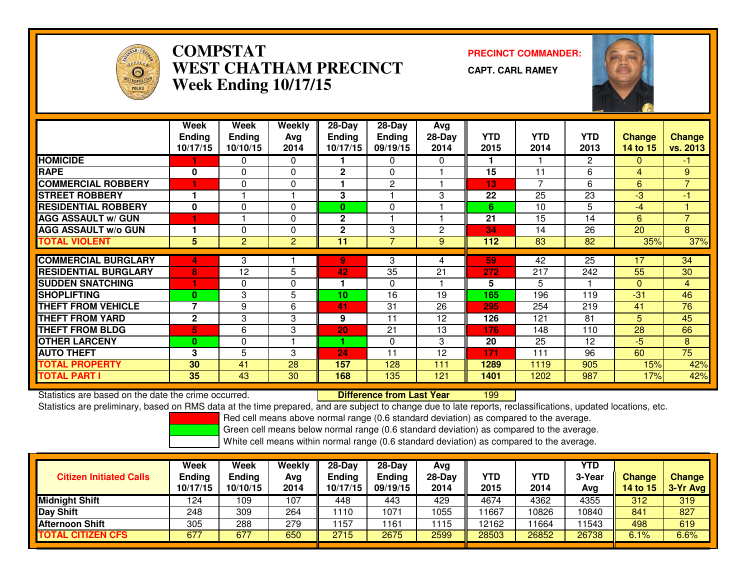

## **COMPSTAT PRECINCT COMMANDER: WEST CHATHAM PRECINCTWeek Ending 10/17/15**

**CAPT. CARL RAMEY**



|                             | Week<br><b>Ending</b> | Week<br><b>Ending</b> | <b>Weekly</b> | $28-Day$<br><b>Ending</b> | 28-Day<br>Ending | Avg<br>$28-Day$ | YTD. | <b>YTD</b> | YTD.         |                    |                           |
|-----------------------------|-----------------------|-----------------------|---------------|---------------------------|------------------|-----------------|------|------------|--------------|--------------------|---------------------------|
|                             | 10/17/15              | 10/10/15              | Avg<br>2014   | 10/17/15                  | 09/19/15         | 2014            | 2015 | 2014       | 2013         | Change<br>14 to 15 | <b>Change</b><br>vs. 2013 |
| <b>HOMICIDE</b>             |                       | 0                     | $\Omega$      |                           | $\Omega$         | 0               |      |            | $\mathbf{2}$ | $\Omega$           | $-1$                      |
| <b>RAPE</b>                 | 0                     | $\Omega$              | $\Omega$      | $\mathbf{2}$              | $\Omega$         |                 | 15   | 11         | 6            | 4                  | 9                         |
| <b>COMMERCIAL ROBBERY</b>   | u                     | 0                     | $\Omega$      |                           | $\mathbf{2}$     |                 | 13   | 7          | 6            | 6                  | $\overline{7}$            |
| <b>STREET ROBBERY</b>       |                       |                       |               | 3                         |                  | 3               | 22   | 25         | 23           | -3                 | -1                        |
| <b>RESIDENTIAL ROBBERY</b>  | $\mathbf{0}$          | $\Omega$              | $\Omega$      | 0                         | $\Omega$         |                 | 6    | 10         | 5            | $-4$               |                           |
| <b>AGG ASSAULT w/ GUN</b>   |                       |                       | $\Omega$      | $\mathbf 2$               |                  |                 | 21   | 15         | 14           | 6                  | $\overline{7}$            |
| <b>AGG ASSAULT w/o GUN</b>  |                       | 0                     | $\Omega$      | $\overline{2}$            | 3                | 2               | 34   | 14         | 26           | 20                 | 8                         |
| <b>TOTAL VIOLENT</b>        | 5                     | $\overline{2}$        | 2             | 11                        | $\overline{7}$   | 9               | 112  | 83         | 82           | 35%                | 37%                       |
| <b>COMMERCIAL BURGLARY</b>  |                       |                       |               |                           |                  |                 |      |            |              |                    |                           |
|                             | 4                     | 3                     |               | 9                         | 3                | 4               | 59   | 42         | 25           | 17                 | 34                        |
| <b>RESIDENTIAL BURGLARY</b> | 8                     | 12                    | 5             | 42                        | 35               | 21              | 272  | 217        | 242          | 55                 | 30                        |
| <b>SUDDEN SNATCHING</b>     |                       | $\Omega$              | $\Omega$      | 1                         | $\Omega$         |                 | 5    | 5          |              | $\Omega$           | $\overline{4}$            |
| <b>SHOPLIFTING</b>          | $\bf{0}$              | 3                     | 5             | 10                        | 16               | 19              | 165  | 196        | 119          | $-31$              | 46                        |
| <b>THEFT FROM VEHICLE</b>   | 7                     | 9                     | 6             | 41                        | 31               | 26              | 295  | 254        | 219          | 41                 | 76                        |
| <b>THEFT FROM YARD</b>      | $\mathbf 2$           | 3                     | 3             | 9                         | 11               | 12              | 126  | 121        | 81           | 5.                 | 45                        |
| <b>THEFT FROM BLDG</b>      | 5                     | 6                     | 3             | 20                        | 21               | 13              | 176  | 148        | 110          | 28                 | 66                        |
| <b>OTHER LARCENY</b>        | $\bf{0}$              | $\Omega$              |               |                           | $\Omega$         | 3               | 20   | 25         | 12           | $-5$               | 8                         |
| <b>AUTO THEFT</b>           | 3                     | 5                     | 3             | 24                        | 11               | 12              | 171  | 111        | 96           | 60                 | 75                        |
| <b>TOTAL PROPERTY</b>       | 30                    | 41                    | 28            | 157                       | 128              | 111             | 1289 | 1119       | 905          | 15%                | 42%                       |
| <b>TOTAL PART I</b>         | 35                    | 43                    | 30            | 168                       | 135              | 121             | 1401 | 1202       | 987          | 17%                | 42%                       |

Statistics are based on the date the crime occurred. **Difference from Last Year**  <sup>199</sup>Statistics are preliminary, based on RMS data at the time prepared, and are subject to change due to late reports, reclassifications, updated locations, etc.

Red cell means above normal range (0.6 standard deviation) as compared to the average.

Green cell means below normal range (0.6 standard deviation) as compared to the average.

| <b>Citizen Initiated Calls</b> | Week<br><b>Ending</b><br>10/17/15 | Week<br><b>Ending</b><br>10/10/15 | Weekly<br>Avg<br>2014 | $28-Dav$<br>Ending<br>10/17/15 | 28-Day<br><b>Ending</b><br>09/19/15 | Avg<br>$28$ -Day<br>2014 | YTD<br>2015 | YTD<br>2014 | YTD<br>3-Year<br>Avg | Change<br>14 to 15 | <b>Change</b><br>$3-Yr$ Avg |
|--------------------------------|-----------------------------------|-----------------------------------|-----------------------|--------------------------------|-------------------------------------|--------------------------|-------------|-------------|----------------------|--------------------|-----------------------------|
| <b>Midnight Shift</b>          | 124                               | 109                               | 107                   | 448                            | 443                                 | 429                      | 4674        | 4362        | 4355                 | 312                | 319                         |
| <b>Day Shift</b>               | 248                               | 309                               | 264                   | 1110                           | 1071                                | 1055                     | 11667       | 10826       | 10840                | 841                | 827                         |
| Afternoon Shift                | 305                               | 288                               | 279                   | 157                            | 161                                 | 1115                     | 12162       | 1664        | 11543                | 498                | 619                         |
| <b>TOTAL CITIZEN CFS</b>       | 677                               | 677                               | 650                   | 2715                           | 2675                                | 2599                     | 28503       | 26852       | 26738                | 6.1%               | 6.6%                        |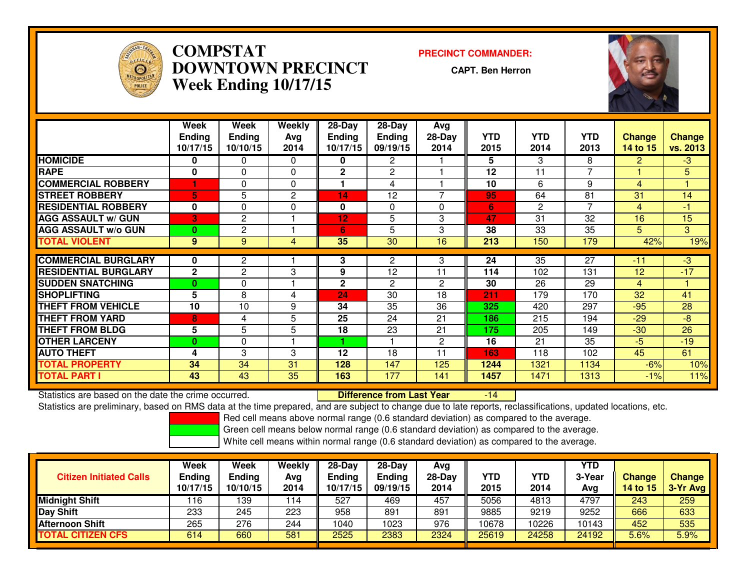

## **COMPSTAT PRECINCT COMMANDER: DOWNTOWN PRECINCTWeek Ending 10/17/15**

**CAPT. Ben Herron**



|                             | Week          | <b>Week</b>    | <b>Weekly</b>  | 28-Day       | 28-Day          | <b>Avg</b>     |      |              |                |                |                |
|-----------------------------|---------------|----------------|----------------|--------------|-----------------|----------------|------|--------------|----------------|----------------|----------------|
|                             | <b>Ending</b> | <b>Ending</b>  | Avg            | Endina       | <b>Ending</b>   | $28-Day$       | YTD  | <b>YTD</b>   | <b>YTD</b>     | <b>Change</b>  | <b>Change</b>  |
|                             | 10/17/15      | 10/10/15       | 2014           | 10/17/15     | 09/19/15        | 2014           | 2015 | 2014         | 2013           | 14 to 15       | vs. 2013       |
| <b>HOMICIDE</b>             | 0             | 0              | $\Omega$       | 0            | $\overline{2}$  |                | 5    | 3            | 8              | $\overline{2}$ | $-3$           |
| <b>RAPE</b>                 | 0             | $\Omega$       | $\Omega$       | $\mathbf{2}$ | $\overline{2}$  |                | 12   | 11           | $\overline{7}$ |                | 5              |
| <b>COMMERCIAL ROBBERY</b>   |               | $\Omega$       | $\Omega$       |              | 4               |                | 10   | 6            | 9              | 4              |                |
| <b>STREET ROBBERY</b>       | 5.            | 5              | 2              | 14           | 12              |                | 95   | 64           | 81             | 31             | 14             |
| <b>RESIDENTIAL ROBBERY</b>  | $\mathbf{0}$  | $\Omega$       | $\Omega$       | 0            | $\Omega$        | $\Omega$       | 6    | $\mathbf{2}$ | 7              | 4              | -1             |
| <b>AGG ASSAULT w/ GUN</b>   | 3             | 2              |                | 12           | 5               | 3              | 47   | 31           | 32             | 16             | 15             |
| <b>AGG ASSAULT w/o GUN</b>  | 0             | $\overline{c}$ |                | 6            | 5               | 3              | 38   | 33           | 35             | 5              | 3 <sup>1</sup> |
| <b>TOTAL VIOLENT</b>        | 9             | 9              | $\overline{4}$ | 35           | $\overline{30}$ | 16             | 213  | 150          | 179            | 42%            | 19%            |
| <b>COMMERCIAL BURGLARY</b>  | 0             | $\mathbf{2}$   |                | 3            | 2               | 3              | 24   | 35           | 27             | $-11$          | $-3$           |
| <b>RESIDENTIAL BURGLARY</b> | $\mathbf{2}$  | 2              | 3              | 9            | 12              | 11             | 114  | 102          | 131            | 12             | $-17$          |
| <b>SUDDEN SNATCHING</b>     | $\bf{0}$      | $\Omega$       |                | $\mathbf{2}$ | 2               | 2              | 30   | 26           | 29             | 4              |                |
| <b>SHOPLIFTING</b>          | 5             | 8              | 4              | 24           | 30              | 18             | 211  | 179          | 170            | 32             | 41             |
| <b>THEFT FROM VEHICLE</b>   | 10            | 10             | 9              | 34           | 35              | 36             | 325  | 420          | 297            | $-95$          | 28             |
| <b>THEFT FROM YARD</b>      | 8             | 4              | 5              | 25           | 24              | 21             | 186  | 215          | 194            | $-29$          | $-8$           |
| <b>THEFT FROM BLDG</b>      | 5             | 5              | 5              | 18           | 23              | 21             | 175  | 205          | 149            | $-30$          | 26             |
| <b>OTHER LARCENY</b>        | $\bf{0}$      | $\Omega$       |                |              |                 | $\overline{c}$ | 16   | 21           | 35             | $-5$           | $-19$          |
| <b>AUTO THEFT</b>           | 4             | 3              | 3              | 12           | 18              | 11             | 163  | 118          | 102            | 45             | 61             |
| <b>TOTAL PROPERTY</b>       | 34            | 34             | 31             | 128          | 147             | 125            | 1244 | 1321         | 1134           | $-6%$          | 10%            |
| <b>TOTAL PART I</b>         | 43            | 43             | 35             | 163          | 177             | 141            | 1457 | 1471         | 1313           | $-1\%$         | 11%            |

Statistics are based on the date the crime occurred. **Difference from Last Year**  -14Statistics are preliminary, based on RMS data at the time prepared, and are subject to change due to late reports, reclassifications, updated locations, etc.

Red cell means above normal range (0.6 standard deviation) as compared to the average.

Green cell means below normal range (0.6 standard deviation) as compared to the average.

| <b>Citizen Initiated Calls</b> | Week<br><b>Ending</b><br>10/17/15 | Week<br><b>Ending</b><br>10/10/15 | Weekly<br>Avg<br>2014 | $28-Dav$<br>Ending<br>10/17/15 | $28-Dav$<br><b>Ending</b><br>09/19/15 | Avg<br>28-Dav<br>2014 | YTD<br>2015 | <b>YTD</b><br>2014 | YTD<br>3-Year<br>Avg | Change<br>14 to 15 | <b>Change</b><br>3-Yr Avg |
|--------------------------------|-----------------------------------|-----------------------------------|-----------------------|--------------------------------|---------------------------------------|-----------------------|-------------|--------------------|----------------------|--------------------|---------------------------|
| <b>Midnight Shift</b>          | 16                                | 139                               | 114                   | 527                            | 469                                   | 457                   | 5056        | 4813               | 4797                 | 243                | 259                       |
| <b>Day Shift</b>               | 233                               | 245                               | 223                   | 958                            | 891                                   | 891                   | 9885        | 9219               | 9252                 | 666                | 633                       |
| <b>Afternoon Shift</b>         | 265                               | 276                               | 244                   | 040                            | 1023                                  | 976                   | 10678       | 10226              | 10143                | 452                | 535                       |
| <b>TOTAL CITIZEN CFS</b>       | 614                               | 660                               | 581                   | 2525                           | 2383                                  | 2324                  | 25619       | 24258              | 24192                | $5.6\%$            | 5.9%                      |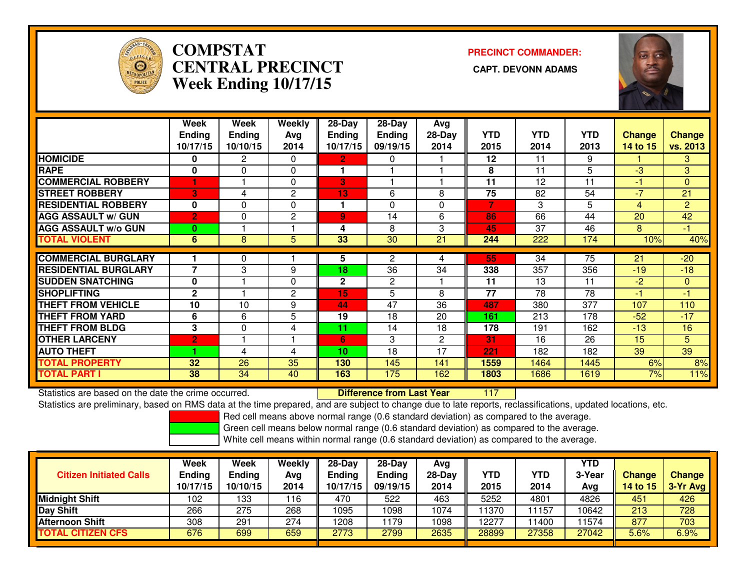

# **COMPSTATCENTRAL PRECINCT Week Ending 10/17/15**

**PRECINCT COMMANDER:**



|                             | Week                     | Week          | Weekly         | 28-Day        | 28-Day         | Avg          |            |                  |            |               |               |
|-----------------------------|--------------------------|---------------|----------------|---------------|----------------|--------------|------------|------------------|------------|---------------|---------------|
|                             | <b>Ending</b>            | <b>Ending</b> | Avg            | <b>Ending</b> | <b>Ending</b>  | $28-Day$     | <b>YTD</b> | <b>YTD</b>       | <b>YTD</b> | <b>Change</b> | <b>Change</b> |
|                             | 10/17/15                 | 10/10/15      | 2014           | 10/17/15      | 09/19/15       | 2014         | 2015       | 2014             | 2013       | 14 to 15      | vs. 2013      |
| <b>HOMICIDE</b>             | $\bf{0}$                 | $\mathbf{2}$  | $\Omega$       | $\mathbf{2}$  | $\mathbf{0}$   |              | 12         | 11               | 9          |               | 3             |
| <b>RAPE</b>                 | $\bf{0}$                 | $\Omega$      | 0              |               |                |              | 8          | 11               | 5          | $-3$          | 3             |
| <b>COMMERCIAL ROBBERY</b>   |                          |               | $\Omega$       | 3             |                |              | 11         | 12               | 11         | -1            | $\Omega$      |
| <b>ISTREET ROBBERY</b>      | 3.                       | 4             | 2              | 13            | 6              | 8            | 75         | 82               | 54         | -7            | 21            |
| <b>RESIDENTIAL ROBBERY</b>  | $\mathbf{0}$             | $\Omega$      | $\Omega$       | 1             | $\Omega$       | 0            | 7          | 3                | 5          | 4             | 2             |
| <b>AGG ASSAULT w/ GUN</b>   | $\overline{2}$           | 0             | 2              | 9             | 14             | 6            | 86         | 66               | 44         | 20            | 42            |
| <b>AGG ASSAULT w/o GUN</b>  | 0                        |               |                | 4             | 8              | 3            | 45         | 37               | 46         | 8             | $-1$          |
| <b>TOTAL VIOLENT</b>        | $6^{\circ}$              | 8             | 5              | 33            | 30             | 21           | 244        | $\overline{222}$ | 174        | 10%           | 40%           |
|                             |                          |               |                |               |                |              |            |                  |            |               |               |
| <b>COMMERCIAL BURGLARY</b>  |                          | 0             |                | 5             | 2              | 4            | 55         | 34               | 75         | 21            | $-20$         |
| <b>RESIDENTIAL BURGLARY</b> | $\overline{\phantom{a}}$ | 3             | 9              | 18            | 36             | 34           | 338        | 357              | 356        | $-19$         | $-18$         |
| <b>SUDDEN SNATCHING</b>     | $\mathbf{0}$             |               | $\Omega$       | $\mathbf 2$   | $\overline{c}$ |              | 11         | 13               | 11         | $-2$          | $\mathbf{0}$  |
| <b>ISHOPLIFTING</b>         | $\mathbf{2}$             |               | $\overline{2}$ | 15            | 5              | 8            | 77         | 78               | 78         | -1            | -1            |
| <b>THEFT FROM VEHICLE</b>   | 10                       | 10            | 9              | 44            | 47             | 36           | 487        | 380              | 377        | 107           | 110           |
| <b>THEFT FROM YARD</b>      | 6                        | 6             | 5              | 19            | 18             | 20           | 161        | 213              | 178        | $-52$         | $-17$         |
| <b>THEFT FROM BLDG</b>      | 3                        | $\Omega$      | 4              | 11            | 14             | 18           | 178        | 191              | 162        | $-13$         | 16            |
| <b>OTHER LARCENY</b>        | $\overline{2}$           |               |                | 6             | 3              | $\mathbf{2}$ | 31         | 16               | 26         | 15            | 5             |
| <b>AUTO THEFT</b>           |                          | 4             | 4              | 10            | 18             | 17           | 221        | 182              | 182        | 39            | 39            |
| <b>TOTAL PROPERTY</b>       | 32                       | 26            | 35             | 130           | 145            | 141          | 1559       | 1464             | 1445       | 6%            | 8%            |
| <b>TOTAL PART I</b>         | 38                       | 34            | 40             | 163           | 175            | 162          | 1803       | 1686             | 1619       | 7%            | 11%           |

Statistics are based on the date the crime occurred. **Difference from Last Year** 

<sup>117</sup>

Statistics are preliminary, based on RMS data at the time prepared, and are subject to change due to late reports, reclassifications, updated locations, etc.

Red cell means above normal range (0.6 standard deviation) as compared to the average.

Green cell means below normal range (0.6 standard deviation) as compared to the average.

| <b>Citizen Initiated Calls</b> | Week<br><b>Ending</b><br>10/17/15 | Week<br>Ending<br>10/10/15 | Weekly<br>Avg<br>2014 | $28-Dav$<br><b>Ending</b><br>10/17/15 | $28-Dav$<br><b>Ending</b><br>09/19/15 | Ava<br>$28-Day$<br>2014 | YTD<br>2015 | YTD<br>2014 | YTD<br>3-Year<br>Avg | <b>Change</b><br>14 to 15 | <b>Change</b><br>3-Yr Avg |
|--------------------------------|-----------------------------------|----------------------------|-----------------------|---------------------------------------|---------------------------------------|-------------------------|-------------|-------------|----------------------|---------------------------|---------------------------|
| Midnight Shift                 | 102                               | 133                        | 116                   | 470                                   | 522                                   | 463                     | 5252        | 4801        | 4826                 | 451                       | 426                       |
| Day Shift                      | 266                               | 275                        | 268                   | 1095                                  | 098                                   | 1074                    | 11370       | .1157       | 10642                | 213                       | 728                       |
| Afternoon Shift                | 308                               | 291                        | 274                   | 1208                                  | 179                                   | 1098                    | 12277       | 1400        | 11574                | 877                       | 703                       |
| TOTAL CITIZEN CFS              | 676                               | 699                        | 659                   | 2773                                  | 2799                                  | 2635                    | 28899       | 27358       | 27042                | 5.6%                      | 6.9%                      |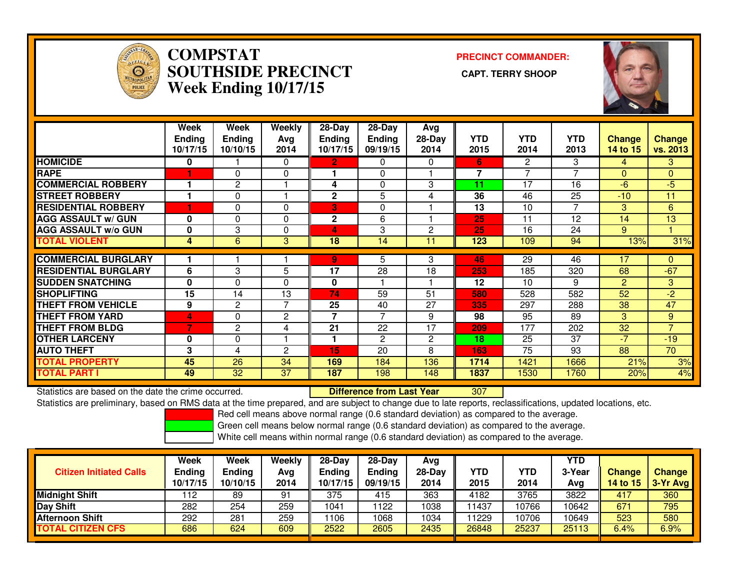

#### **COMPSTAT PRECINCT COMMANDER: SOUTHSIDE PRECINCT CAPT. TERRY SHOOPWeek Ending 10/17/15**



|                             | Week<br><b>Ending</b><br>10/17/15 | Week<br><b>Ending</b><br>10/10/15 | Weekly<br>Avg<br>2014 | $28-Day$<br>Ending<br>10/17/15 | $28-Day$<br><b>Ending</b><br>09/19/15 | Avg<br>28-Day<br>2014 | <b>YTD</b><br>2015 | <b>YTD</b><br>2014 | <b>YTD</b><br>2013 | <b>Change</b><br>14 to 15 | <b>Change</b><br>vs. 2013 |
|-----------------------------|-----------------------------------|-----------------------------------|-----------------------|--------------------------------|---------------------------------------|-----------------------|--------------------|--------------------|--------------------|---------------------------|---------------------------|
| <b>HOMICIDE</b>             | 0                                 |                                   | 0                     | 2                              | 0                                     | 0                     | 6.                 | 2                  | 3                  | 4                         | 3.                        |
| <b>RAPE</b>                 |                                   | 0                                 | 0                     |                                | $\Omega$                              |                       | 7                  |                    | 7                  | 0                         | 0                         |
| <b>COMMERCIAL ROBBERY</b>   |                                   | 2                                 |                       | 4                              | $\Omega$                              | 3                     | 11                 | 17                 | 16                 | $-6$                      | $-5$                      |
| <b>STREET ROBBERY</b>       | 1                                 | $\Omega$                          | ٠                     | $\mathbf{2}$                   | 5                                     | 4                     | 36                 | 46                 | 25                 | $-10$                     | 11                        |
| <b>RESIDENTIAL ROBBERY</b>  |                                   | $\Omega$                          | 0                     | 3                              | $\Omega$                              |                       | 13                 | 10                 | 7                  | 3                         | 6                         |
| <b>AGG ASSAULT w/ GUN</b>   | $\mathbf 0$                       | $\Omega$                          | 0                     | $\overline{2}$                 | 6                                     |                       | 25                 | 11                 | 12                 | 14                        | 13                        |
| <b>AGG ASSAULT w/o GUN</b>  | 0                                 | 3                                 | 0                     | 4                              | 3                                     | $\overline{2}$        | 25                 | 16                 | 24                 | 9                         |                           |
| <b>TOTAL VIOLENT</b>        | 4                                 | 6                                 | 3                     | 18                             | 14                                    | 11                    | 123                | 109                | 94                 | 13%                       | 31%                       |
| <b>COMMERCIAL BURGLARY</b>  |                                   |                                   |                       | 9                              | 5                                     | 3                     | 46                 | 29                 | 46                 | 17                        | $\Omega$                  |
| <b>RESIDENTIAL BURGLARY</b> | 6                                 | 3                                 | 5                     | 17                             | 28                                    | 18                    | 253                | 185                | 320                | 68                        | $-67$                     |
| <b>SUDDEN SNATCHING</b>     | $\mathbf 0$                       | $\Omega$                          | 0                     | 0                              |                                       |                       | 12                 | 10                 | 9                  | $\overline{2}$            | 3                         |
| <b>ISHOPLIFTING</b>         | 15                                | 14                                | 13                    | 74                             | 59                                    | 51                    | 580                | 528                | 582                | 52                        | $-2$                      |
| <b>THEFT FROM VEHICLE</b>   | 9                                 | 2                                 | 7                     | 25                             | 40                                    | 27                    | 335                | 297                | 288                | 38                        | 47                        |
| <b>THEFT FROM YARD</b>      | 4                                 | $\Omega$                          | 2                     | 7                              | 7                                     | 9                     | 98                 | 95                 | 89                 | 3.                        | 9                         |
| <b>THEFT FROM BLDG</b>      | 7                                 | 2                                 | 4                     | 21                             | 22                                    | 17                    | 209                | 177                | 202                | 32                        | $\overline{7}$            |
| <b>OTHER LARCENY</b>        | 0                                 | $\Omega$                          | ٠                     |                                | 2                                     | $\overline{2}$        | 18                 | 25                 | 37                 | $-7$                      | $-19$                     |
| <b>AUTO THEFT</b>           | 3                                 | 4                                 | 2                     | 15                             | 20                                    | 8                     | 163                | 75                 | 93                 | 88                        | 70                        |
| <b>TOTAL PROPERTY</b>       | 45                                | 26                                | 34                    | 169                            | 184                                   | 136                   | 1714               | 1421               | 1666               | 21%                       | 3%                        |
| <b>TOTAL PART I</b>         | 49                                | 32                                | 37                    | 187                            | 198                                   | 148                   | 1837               | 1530               | 1760               | 20%                       | 4%                        |

Statistics are based on the date the crime occurred. **Difference from Last Year** 

<sup>307</sup>

Statistics are preliminary, based on RMS data at the time prepared, and are subject to change due to late reports, reclassifications, updated locations, etc.

Red cell means above normal range (0.6 standard deviation) as compared to the average.

Green cell means below normal range (0.6 standard deviation) as compared to the average.

| <b>Citizen Initiated Calls</b> | <b>Week</b><br><b>Ending</b><br>10/17/15 | <b>Week</b><br><b>Ending</b><br>10/10/15 | Weekly<br>Avg<br>2014 | $28-Dav$<br><b>Ending</b><br>10/17/15 | $28-Dav$<br><b>Ending</b><br>09/19/15 | Ava<br>28-Dav<br>2014 | YTD<br>2015 | YTD<br>2014 | YTD<br>3-Year<br>Ava | <b>Change</b><br><b>14 to 15</b> | <b>Change</b><br>3-Yr Avg |
|--------------------------------|------------------------------------------|------------------------------------------|-----------------------|---------------------------------------|---------------------------------------|-----------------------|-------------|-------------|----------------------|----------------------------------|---------------------------|
| <b>Midnight Shift</b>          | 112                                      | 89                                       | 91                    | 375                                   | 415                                   | 363                   | 4182        | 3765        | 3822                 | 417                              | 360                       |
| <b>Day Shift</b>               | 282                                      | 254                                      | 259                   | 1041                                  | 1122                                  | 1038                  | 11437       | 0766        | 10642                | 671                              | 795                       |
| <b>Afternoon Shift</b>         | 292                                      | 281                                      | 259                   | 106                                   | 1068                                  | 1034                  | 11229       | 10706       | 10649                | 523                              | 580                       |
| <b>TOTAL CITIZEN CFS</b>       | 686                                      | 624                                      | 609                   | 2522                                  | 2605                                  | 2435                  | 26848       | 25237       | 25113                | 6.4%                             | 6.9%                      |